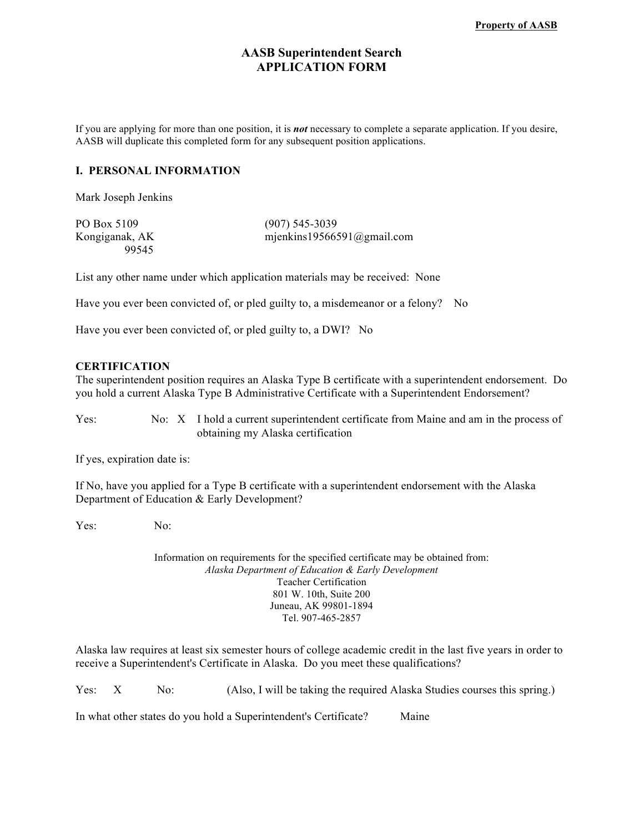## **AASB Superintendent Search APPLICATION FORM**

If you are applying for more than one position, it is *not* necessary to complete a separate application. If you desire, AASB will duplicate this completed form for any subsequent position applications.

#### **I. PERSONAL INFORMATION**

Mark Joseph Jenkins

| PO Box 5109    | $(907)$ 545-3039           |
|----------------|----------------------------|
| Kongiganak, AK | mjenkins19566591@gmail.com |
| 99545          |                            |

List any other name under which application materials may be received: None

Have you ever been convicted of, or pled guilty to, a misdemeanor or a felony? No

Have you ever been convicted of, or pled guilty to, a DWI? No

#### **CERTIFICATION**

The superintendent position requires an Alaska Type B certificate with a superintendent endorsement. Do you hold a current Alaska Type B Administrative Certificate with a Superintendent Endorsement?

Yes: No: X I hold a current superintendent certificate from Maine and am in the process of obtaining my Alaska certification

If yes, expiration date is:

If No, have you applied for a Type B certificate with a superintendent endorsement with the Alaska Department of Education & Early Development?

Yes: No:

Information on requirements for the specified certificate may be obtained from: *Alaska Department of Education & Early Development* Teacher Certification 801 W. 10th, Suite 200 Juneau, AK 99801-1894 Tel. 907-465-2857

Alaska law requires at least six semester hours of college academic credit in the last five years in order to receive a Superintendent's Certificate in Alaska. Do you meet these qualifications?

Yes: X No: (Also, I will be taking the required Alaska Studies courses this spring.)

In what other states do you hold a Superintendent's Certificate? Maine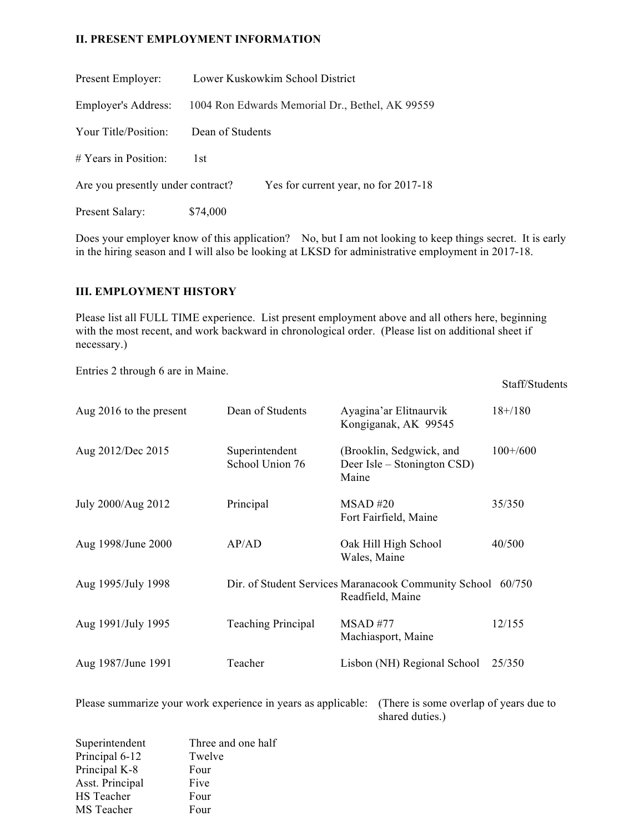#### **II. PRESENT EMPLOYMENT INFORMATION**

| Present Employer:                 |                                                 | Lower Kuskowkim School District      |
|-----------------------------------|-------------------------------------------------|--------------------------------------|
| <b>Employer's Address:</b>        | 1004 Ron Edwards Memorial Dr., Bethel, AK 99559 |                                      |
| Your Title/Position:              | Dean of Students                                |                                      |
| $# Years$ in Position:            | 1st.                                            |                                      |
| Are you presently under contract? |                                                 | Yes for current year, no for 2017-18 |
| Present Salary:                   | \$74,000                                        |                                      |

Does your employer know of this application? No, but I am not looking to keep things secret. It is early in the hiring season and I will also be looking at LKSD for administrative employment in 2017-18.

#### **III. EMPLOYMENT HISTORY**

Please list all FULL TIME experience. List present employment above and all others here, beginning with the most recent, and work backward in chronological order. (Please list on additional sheet if necessary.)

Staff/Students

Entries 2 through 6 are in Maine.

| Aug 2016 to the present | Dean of Students                  | Ayagina'ar Elitnaurvik<br>Kongiganak, AK 99545                                  | $18 + 180$ |
|-------------------------|-----------------------------------|---------------------------------------------------------------------------------|------------|
| Aug 2012/Dec 2015       | Superintendent<br>School Union 76 | (Brooklin, Sedgwick, and<br>Deer Isle – Stonington CSD)<br>Maine                | $100+/600$ |
| July 2000/Aug 2012      | Principal                         | MSAD #20<br>Fort Fairfield, Maine                                               | 35/350     |
| Aug 1998/June 2000      | AP/AD                             | Oak Hill High School<br>Wales, Maine                                            | 40/500     |
| Aug 1995/July 1998      |                                   | Dir. of Student Services Maranacook Community School 60/750<br>Readfield, Maine |            |
| Aug 1991/July 1995      | <b>Teaching Principal</b>         | $MSAD$ #77<br>Machiasport, Maine                                                | 12/155     |
| Aug 1987/June 1991      | Teacher                           | Lisbon (NH) Regional School                                                     | 25/350     |

Please summarize your work experience in years as applicable: (There is some overlap of years due to shared duties.)

| Superintendent  | Three and one half |
|-----------------|--------------------|
| Principal 6-12  | Twelve             |
| Principal K-8   | Four               |
| Asst. Principal | Five               |
| HS Teacher      | Four               |
| MS Teacher      | Four               |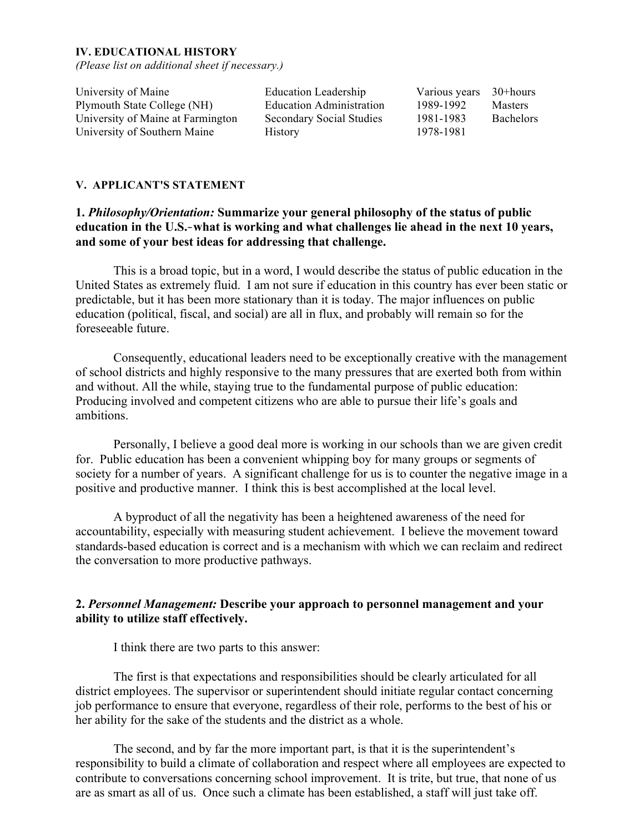#### **IV. EDUCATIONAL HISTORY**

*(Please list on additional sheet if necessary.)*

University of Maine **Education Leadership** Various years 30+hours Plymouth State College (NH) Education Administration 1989-1992 Masters University of Maine at Farmington Secondary Social Studies 1981-1983 Bachelors University of Southern Maine History 1978-1981

## **V. APPLICANT'S STATEMENT**

# **1.** *Philosophy/Orientation:* **Summarize your general philosophy of the status of public education in the U.S.**‑**what is working and what challenges lie ahead in the next 10 years, and some of your best ideas for addressing that challenge.**

This is a broad topic, but in a word, I would describe the status of public education in the United States as extremely fluid. I am not sure if education in this country has ever been static or predictable, but it has been more stationary than it is today. The major influences on public education (political, fiscal, and social) are all in flux, and probably will remain so for the foreseeable future.

Consequently, educational leaders need to be exceptionally creative with the management of school districts and highly responsive to the many pressures that are exerted both from within and without. All the while, staying true to the fundamental purpose of public education: Producing involved and competent citizens who are able to pursue their life's goals and ambitions.

Personally, I believe a good deal more is working in our schools than we are given credit for. Public education has been a convenient whipping boy for many groups or segments of society for a number of years. A significant challenge for us is to counter the negative image in a positive and productive manner. I think this is best accomplished at the local level.

A byproduct of all the negativity has been a heightened awareness of the need for accountability, especially with measuring student achievement. I believe the movement toward standards-based education is correct and is a mechanism with which we can reclaim and redirect the conversation to more productive pathways.

# **2.** *Personnel Management:* **Describe your approach to personnel management and your ability to utilize staff effectively.**

I think there are two parts to this answer:

The first is that expectations and responsibilities should be clearly articulated for all district employees. The supervisor or superintendent should initiate regular contact concerning job performance to ensure that everyone, regardless of their role, performs to the best of his or her ability for the sake of the students and the district as a whole.

The second, and by far the more important part, is that it is the superintendent's responsibility to build a climate of collaboration and respect where all employees are expected to contribute to conversations concerning school improvement. It is trite, but true, that none of us are as smart as all of us. Once such a climate has been established, a staff will just take off.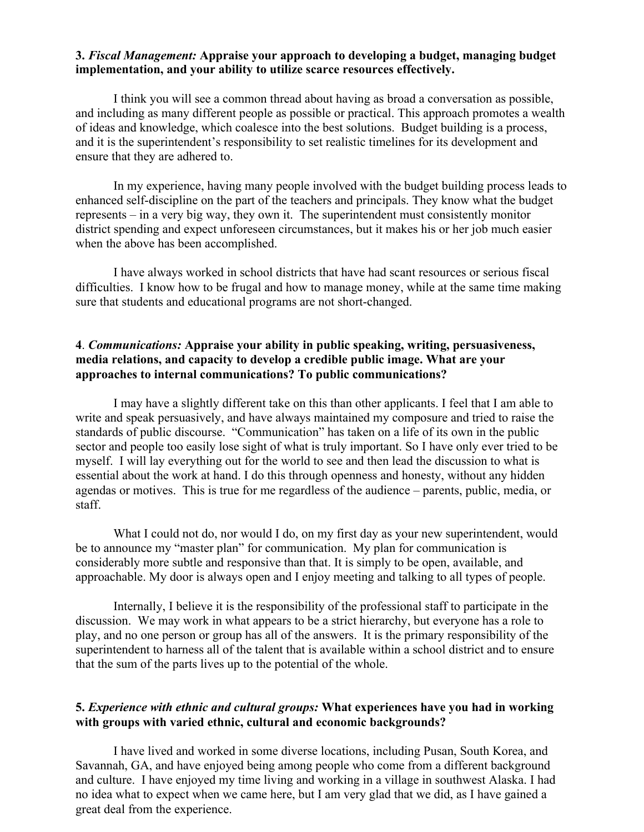## **3.** *Fiscal Management:* **Appraise your approach to developing a budget, managing budget implementation, and your ability to utilize scarce resources effectively.**

I think you will see a common thread about having as broad a conversation as possible, and including as many different people as possible or practical. This approach promotes a wealth of ideas and knowledge, which coalesce into the best solutions. Budget building is a process, and it is the superintendent's responsibility to set realistic timelines for its development and ensure that they are adhered to.

In my experience, having many people involved with the budget building process leads to enhanced self-discipline on the part of the teachers and principals. They know what the budget represents – in a very big way, they own it. The superintendent must consistently monitor district spending and expect unforeseen circumstances, but it makes his or her job much easier when the above has been accomplished.

I have always worked in school districts that have had scant resources or serious fiscal difficulties. I know how to be frugal and how to manage money, while at the same time making sure that students and educational programs are not short-changed.

# **4**. *Communications:* **Appraise your ability in public speaking, writing, persuasiveness, media relations, and capacity to develop a credible public image. What are your approaches to internal communications? To public communications?**

I may have a slightly different take on this than other applicants. I feel that I am able to write and speak persuasively, and have always maintained my composure and tried to raise the standards of public discourse. "Communication" has taken on a life of its own in the public sector and people too easily lose sight of what is truly important. So I have only ever tried to be myself. I will lay everything out for the world to see and then lead the discussion to what is essential about the work at hand. I do this through openness and honesty, without any hidden agendas or motives. This is true for me regardless of the audience – parents, public, media, or staff.

What I could not do, nor would I do, on my first day as your new superintendent, would be to announce my "master plan" for communication. My plan for communication is considerably more subtle and responsive than that. It is simply to be open, available, and approachable. My door is always open and I enjoy meeting and talking to all types of people.

Internally, I believe it is the responsibility of the professional staff to participate in the discussion. We may work in what appears to be a strict hierarchy, but everyone has a role to play, and no one person or group has all of the answers. It is the primary responsibility of the superintendent to harness all of the talent that is available within a school district and to ensure that the sum of the parts lives up to the potential of the whole.

# **5.** *Experience with ethnic and cultural groups:* **What experiences have you had in working with groups with varied ethnic, cultural and economic backgrounds?**

I have lived and worked in some diverse locations, including Pusan, South Korea, and Savannah, GA, and have enjoyed being among people who come from a different background and culture. I have enjoyed my time living and working in a village in southwest Alaska. I had no idea what to expect when we came here, but I am very glad that we did, as I have gained a great deal from the experience.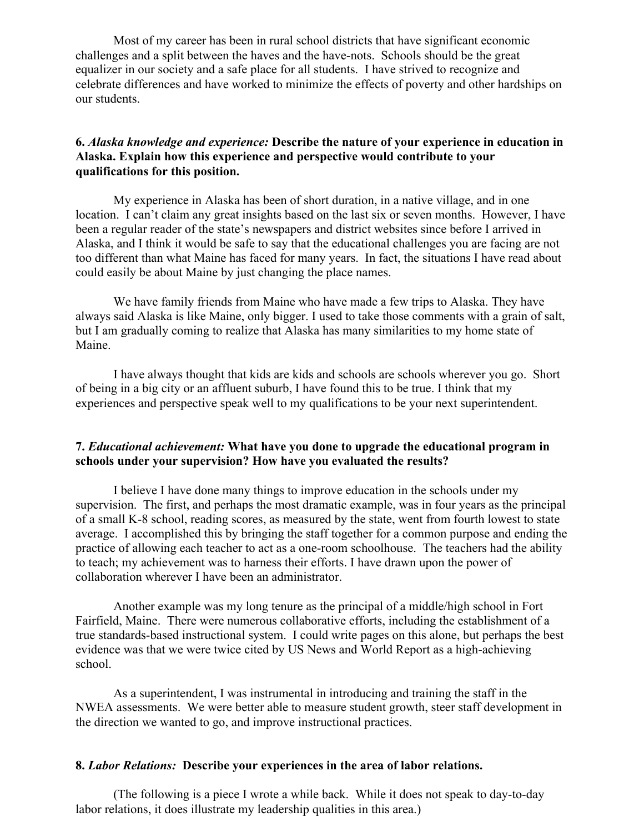Most of my career has been in rural school districts that have significant economic challenges and a split between the haves and the have-nots. Schools should be the great equalizer in our society and a safe place for all students. I have strived to recognize and celebrate differences and have worked to minimize the effects of poverty and other hardships on our students.

## **6.** *Alaska knowledge and experience:* **Describe the nature of your experience in education in Alaska. Explain how this experience and perspective would contribute to your qualifications for this position.**

My experience in Alaska has been of short duration, in a native village, and in one location. I can't claim any great insights based on the last six or seven months. However, I have been a regular reader of the state's newspapers and district websites since before I arrived in Alaska, and I think it would be safe to say that the educational challenges you are facing are not too different than what Maine has faced for many years. In fact, the situations I have read about could easily be about Maine by just changing the place names.

We have family friends from Maine who have made a few trips to Alaska. They have always said Alaska is like Maine, only bigger. I used to take those comments with a grain of salt, but I am gradually coming to realize that Alaska has many similarities to my home state of Maine.

I have always thought that kids are kids and schools are schools wherever you go. Short of being in a big city or an affluent suburb, I have found this to be true. I think that my experiences and perspective speak well to my qualifications to be your next superintendent.

## **7.** *Educational achievement:* **What have you done to upgrade the educational program in schools under your supervision? How have you evaluated the results?**

I believe I have done many things to improve education in the schools under my supervision. The first, and perhaps the most dramatic example, was in four years as the principal of a small K-8 school, reading scores, as measured by the state, went from fourth lowest to state average. I accomplished this by bringing the staff together for a common purpose and ending the practice of allowing each teacher to act as a one-room schoolhouse. The teachers had the ability to teach; my achievement was to harness their efforts. I have drawn upon the power of collaboration wherever I have been an administrator.

Another example was my long tenure as the principal of a middle/high school in Fort Fairfield, Maine. There were numerous collaborative efforts, including the establishment of a true standards-based instructional system. I could write pages on this alone, but perhaps the best evidence was that we were twice cited by US News and World Report as a high-achieving school.

As a superintendent, I was instrumental in introducing and training the staff in the NWEA assessments. We were better able to measure student growth, steer staff development in the direction we wanted to go, and improve instructional practices.

#### **8.** *Labor Relations:* **Describe your experiences in the area of labor relations.**

(The following is a piece I wrote a while back. While it does not speak to day-to-day labor relations, it does illustrate my leadership qualities in this area.)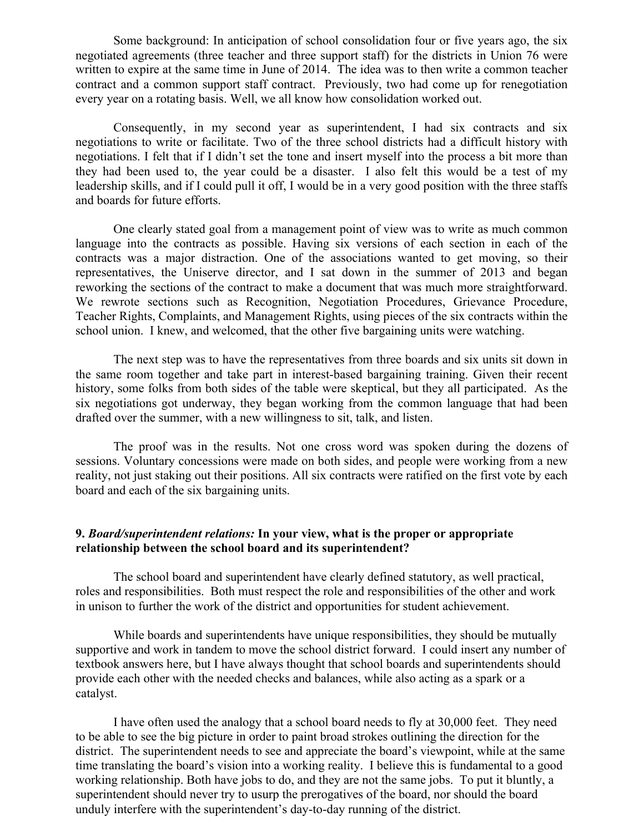Some background: In anticipation of school consolidation four or five years ago, the six negotiated agreements (three teacher and three support staff) for the districts in Union 76 were written to expire at the same time in June of 2014. The idea was to then write a common teacher contract and a common support staff contract. Previously, two had come up for renegotiation every year on a rotating basis. Well, we all know how consolidation worked out.

Consequently, in my second year as superintendent, I had six contracts and six negotiations to write or facilitate. Two of the three school districts had a difficult history with negotiations. I felt that if I didn't set the tone and insert myself into the process a bit more than they had been used to, the year could be a disaster. I also felt this would be a test of my leadership skills, and if I could pull it off, I would be in a very good position with the three staffs and boards for future efforts.

One clearly stated goal from a management point of view was to write as much common language into the contracts as possible. Having six versions of each section in each of the contracts was a major distraction. One of the associations wanted to get moving, so their representatives, the Uniserve director, and I sat down in the summer of 2013 and began reworking the sections of the contract to make a document that was much more straightforward. We rewrote sections such as Recognition, Negotiation Procedures, Grievance Procedure, Teacher Rights, Complaints, and Management Rights, using pieces of the six contracts within the school union. I knew, and welcomed, that the other five bargaining units were watching.

The next step was to have the representatives from three boards and six units sit down in the same room together and take part in interest-based bargaining training. Given their recent history, some folks from both sides of the table were skeptical, but they all participated. As the six negotiations got underway, they began working from the common language that had been drafted over the summer, with a new willingness to sit, talk, and listen.

The proof was in the results. Not one cross word was spoken during the dozens of sessions. Voluntary concessions were made on both sides, and people were working from a new reality, not just staking out their positions. All six contracts were ratified on the first vote by each board and each of the six bargaining units.

## **9.** *Board/superintendent relations:* **In your view, what is the proper or appropriate relationship between the school board and its superintendent?**

The school board and superintendent have clearly defined statutory, as well practical, roles and responsibilities. Both must respect the role and responsibilities of the other and work in unison to further the work of the district and opportunities for student achievement.

While boards and superintendents have unique responsibilities, they should be mutually supportive and work in tandem to move the school district forward. I could insert any number of textbook answers here, but I have always thought that school boards and superintendents should provide each other with the needed checks and balances, while also acting as a spark or a catalyst.

I have often used the analogy that a school board needs to fly at 30,000 feet. They need to be able to see the big picture in order to paint broad strokes outlining the direction for the district. The superintendent needs to see and appreciate the board's viewpoint, while at the same time translating the board's vision into a working reality. I believe this is fundamental to a good working relationship. Both have jobs to do, and they are not the same jobs. To put it bluntly, a superintendent should never try to usurp the prerogatives of the board, nor should the board unduly interfere with the superintendent's day-to-day running of the district.